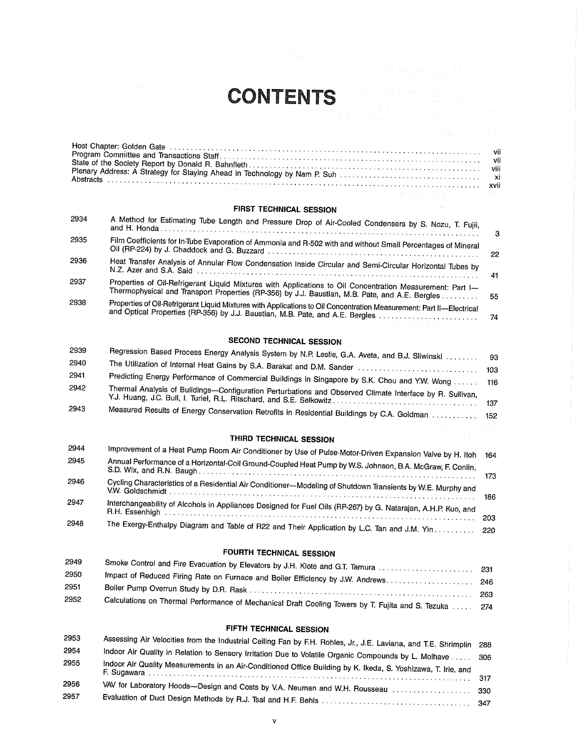

| 的复数人名英格兰人姓氏克里斯的变体 医中间性 医骨折 医心包 医腹膜炎 医心包 化双元                                                                   |  | the control of the control of the control |  |
|---------------------------------------------------------------------------------------------------------------|--|-------------------------------------------|--|
| Host Chapter: Golden Gate Allenta Allenta Allenta Allenta Allenta Allenta Allenta Allenta Allenta Allenta All |  |                                           |  |
|                                                                                                               |  |                                           |  |
|                                                                                                               |  |                                           |  |

# FIRST TECHNICAL SESSION

 $\label{eq:3.1} \mathcal{I}^{\mathcal{A}}\left(\mathcal{I}^{\mathcal{A}}_{\mathcal{A}}\right) = \mathcal{I}^{\mathcal{A}}_{\mathcal{A}}\left(\mathcal{A}^{\mathcal{A}}_{\mathcal{A}}\right) = \mathcal{I}^{\mathcal{A}}_{\mathcal{A}}\left(\mathcal{A}^{\mathcal{A}}_{\mathcal{A}}\right) = 0$ 

| 2934 | A Method for Estimating Tube Length and Pressure Drop of Air-Cooled Condensers by S. Nozu, T. Fujii,                                                                                                        | З    |
|------|-------------------------------------------------------------------------------------------------------------------------------------------------------------------------------------------------------------|------|
| 2935 | Film Coefficients for In-Tube Evaporation of Ammonia and R-502 with and without Small Percentages of Mineral                                                                                                |      |
| 2936 | Heat Transfer Analysis of Annular Flow Condensation Inside Circular and Semi-Circular Horizontal Tubes by                                                                                                   | 41   |
| 2937 | Properties of Oil-Refrigerant Liquid Mixtures with Applications to Oil Concentration Measurement: Part I-<br>Thermophysical and Transport Properties (RP-356) by J.J. Baustian, M.B. Pate, and A.E. Bergles | - 55 |
| 2938 | Properties of Oil-Refrigerant Liquid Mixtures with Applications to Oil Concentration Measurement: Part II-Electrical                                                                                        |      |

# SECOND TECHNICAL SESSION

| 2939 | Regression Based Process Energy Analysis System by N.P. Leslie, G.A. Aveta, and B.J. Sliwinski           | -93 |
|------|----------------------------------------------------------------------------------------------------------|-----|
| 2940 |                                                                                                          |     |
| 2941 | Predicting Energy Performance of Commercial Buildings in Singapore by S.K. Chou and Y.W. Wong  116       |     |
| 2942 | Thermal Analysis of Buildings-Configuration Perturbations and Observed Climate Interface by R. Sullivan, |     |
|      |                                                                                                          |     |
| 2943 | Measured Results of Energy Conservation Retrofits in Residential Buildings by C.A. Goldman               |     |
|      |                                                                                                          |     |

## THIRD TECHNICAL SESSION

| 2944 | Improvement of a Heat Pump Room Air Conditioner by Use of Pulse Motor-Driven Expansion Valve by H. Itoh       | 164   |
|------|---------------------------------------------------------------------------------------------------------------|-------|
| 2945 | Annual Performance of a Horizontal-Coil Ground-Coupled Heat Pump by W.S. Johnson, B.A. McGraw, F. Conlin,     | - 173 |
| 2946 | Cycling Characteristics of a Residential Air Conditioner-Modeling of Shutdown Transients by W.E. Murphy and   | 186   |
| 2947 | Interchangeability of Alcohols in Appliances Designed for Fuel Oils (RP-267) by G. Natarajan, A.H.P. Kuo, and | -203  |
| 2948 | The Exergy-Enthalpy Diagram and Table of R22 and Their Application by L.C. Tan and J.M. Yin. 220              |       |

# FOURTH TECHNICAL SESSION

| 2949 | Smoke Control and Fire Evacuation by Elevators by J.H. Klote and G.T. Tamura  231                 |     |
|------|---------------------------------------------------------------------------------------------------|-----|
| 2950 |                                                                                                   |     |
|      | Impact of Reduced Firing Rate on Furnace and Boiler Efficiency by J.W. Andrews 246                |     |
| 2951 |                                                                                                   |     |
| 2952 |                                                                                                   | 263 |
|      | Calculations on Thermal Performance of Mechanical Draft Cooling Towers by T. Fujita and S. Tezuka |     |
|      |                                                                                                   |     |

## FIFTH TECHNICAL SESSION

| 2953 | Assessing Air Velocities from the Industrial Ceiling Fan by F.H. Rohles, Jr., J.E. Laviana, and T.E. Shrimplin 288 |  |
|------|--------------------------------------------------------------------------------------------------------------------|--|
| 2954 | Indoor Air Quality in Relation to Sensory Irritation Due to Volatile Organic Compounds by L. Molhave               |  |
| 2955 | Indoor Air Quality Measurements in an Air-Conditioned Office Building by K. Ikeda, S. Yoshizawa, T. Irie, and      |  |
|      |                                                                                                                    |  |
| 2956 | VAV for Laboratory Hoods--Design and Costs by V.A. Neuman and W.H. Rousseau  330                                   |  |
| 2957 |                                                                                                                    |  |
|      |                                                                                                                    |  |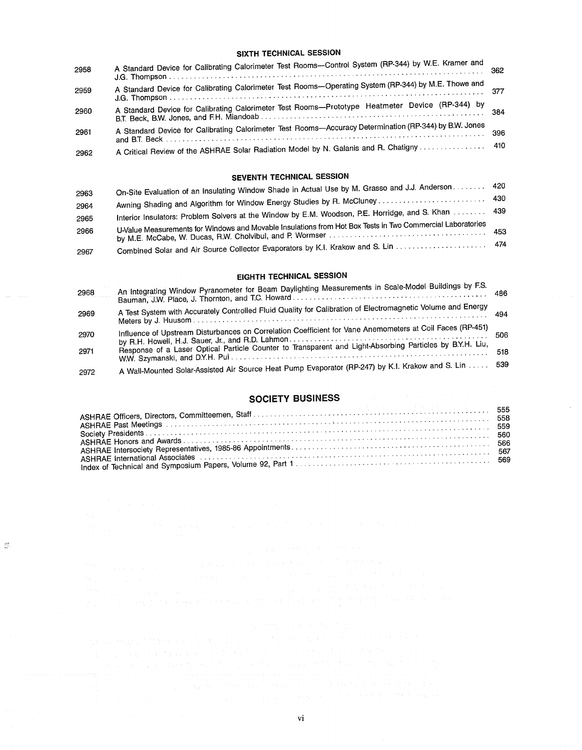#### SIXTH TECHNICAL SESSION

| 2958 | A Standard Device for Calibrating Calorimeter Test Rooms-Control System (RP-344) by W.E. Kramer and      |     |
|------|----------------------------------------------------------------------------------------------------------|-----|
| 2959 | A Standard Device for Calibrating Calorimeter Test Rooms-Operating System (RP-344) by M.E. Thowe and     |     |
| 2960 | A Standard Device for Calibrating Calorimeter Test Rooms-Prototype Heatmeter Device (RP-344) by          | 384 |
| 2961 | A Standard Device for Calibrating Calorimeter Test Rooms---Accuracy Determination (RP-344) by B.W. Jones |     |
| 2962 | A Critical Review of the ASHRAE Solar Radiation Model by N. Galanis and R. Chatigny  410                 |     |

# SEVENTH TECHNICAL SESSION

| 2963 | On-Site Evaluation of an Insulating Window Shade in Actual Use by M. Grasso and J.J. Anderson 420          |  |
|------|------------------------------------------------------------------------------------------------------------|--|
|      |                                                                                                            |  |
| 2964 | Interior Insulators: Problem Solvers at the Window by E.M. Woodson, P.E. Horridge, and S. Khan  439        |  |
| 2965 | U-Value Measurements for Windows and Movable Insulations from Hot Box Tests in Two Commercial Laboratories |  |
| 2966 |                                                                                                            |  |
|      | Combined Solar and Air Source Collector Evaporators by K.I. Krakow and S. Lin  474                         |  |
| 2967 |                                                                                                            |  |

# EIGHTH TECHNICAL SESSION

| 2968 | An Integrating Window Pyranometer for Beam Daylighting Measurements in Scale-Model Buildings by F.S.        |     |
|------|-------------------------------------------------------------------------------------------------------------|-----|
| 2969 | A Test System with Accurately Controlled Fluid Quality for Calibration of Electromagnetic Volume and Energy |     |
| 2970 | Influence of Upstream Disturbances on Correlation Coefficient for Vane Anemometers at Coil Faces (RP-451)   | 506 |
| 2971 | Response of a Laser Optical Particle Counter to Transparent and Light-Absorbing Particles by B.Y.H. Liu,    | 518 |
| 2972 | A Wall-Mounted Solar-Assisted Air Source Heat Pump Evaporator (RP-247) by K.I. Krakow and S. Lin            | 539 |

# SOCIETY BUSINESS

| ASHRAE Past Meetings (and according to the control of the control of the control of the control of the control of the control of the control of the control of the control of the control of the control of the control of the<br>Society Presidents of the contract of the contract of the contract of the contract of the contract of the contract of the contract of the contract of the contract of the contract of the contract of the contract of the cont |  |
|------------------------------------------------------------------------------------------------------------------------------------------------------------------------------------------------------------------------------------------------------------------------------------------------------------------------------------------------------------------------------------------------------------------------------------------------------------------|--|
|                                                                                                                                                                                                                                                                                                                                                                                                                                                                  |  |
|                                                                                                                                                                                                                                                                                                                                                                                                                                                                  |  |
|                                                                                                                                                                                                                                                                                                                                                                                                                                                                  |  |
| ASHRAE International Associates contract the contract of the contract of the second section of the section of                                                                                                                                                                                                                                                                                                                                                    |  |
|                                                                                                                                                                                                                                                                                                                                                                                                                                                                  |  |

 $\mathbb{Z}^2$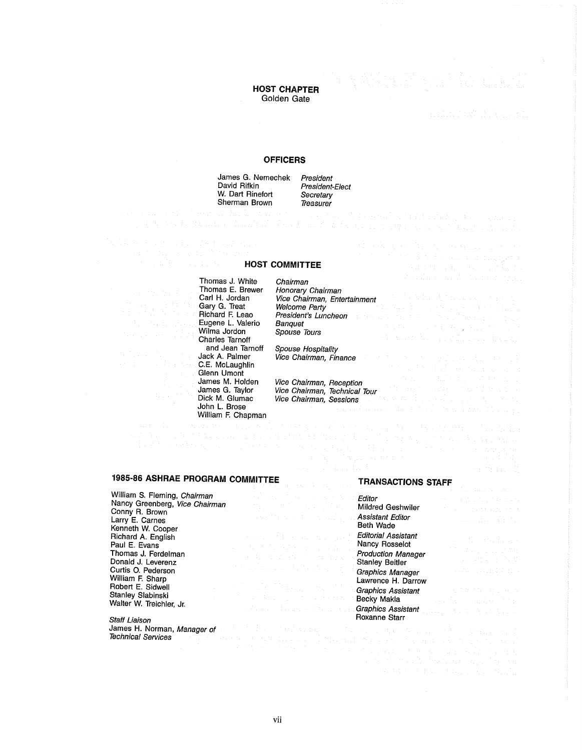## HOST CHAPTER Golden Gate

#### **OFFICERS**

James G. Nemechek President<br>David Rifkin President W. Dart Rinefort Secretary<br>Sherman Brown Treasurer Sherman Brown

President-Elect<br>Secretary

#### HOST COMMITTEE

Thomas J. White Chairman<br>Thomas E. Brewer Honorary Thomas E. Brewer Honorary Chairman<br>Carl H. Jordan Vice Chairman. Ente Gary G. Treat<br>Richard F. Leao Eugene L. Valerio Wilma Jordon Charles Tarnoff and Jean Tarnoff Spouse Hospitality<br>Jack A. Palmer Vice Chairman, Fina C.E. McLaughlin Glenn Umont<br>James M. Holden John L. Brose William F. Chapman

Vice Chairman, Entertainment<br>Welcome Party President's Luncheon<br>Banquet Spouse Tours

Vice Chairman, Finance

James M. Holden Vice Chairman, Reception<br>James G. Taylor Vice Chairman, Technical James G. Taylor Vice Chairman, Technical Tour<br>Dick M. Glumac Vice Chairman, Sessions Vice Chairman, Sessions

# 1985-86 ASHRAE PROGRAM COMMITTEE TRANSACTIONS STAFF

William S. Fleming, *Chairman*<br>Nancy Greenberg, *Vice Chairman*<br>Conny R. Brown<br>Larry E. Cornes Larry E. Carnes Assistant Editor Kenneth W. Cooper Beth Wade Richard A. English Editorial Assistant Contract Assistant Contract Assistant Contract Assistant Contract Assistant Contract Assistant Contract Assistant Contract Assistant Contract Assistant Contract Assistant Contract Ass Paul E. Evans Thomas J. Ferdelman Donald J. Leverenz Curtis O. Pederson<br>William F. Sharp William F. Sharp Lawrence H. Darrow Lawrence H. Darrow Lawrence H. Darrow Robert E. Sidwell Graphics Assistant Graphics Assistant Graphics Assistant Stanley Slabinski Becky Makla Graphics Assistant Becky Makla Becky Makla Becky Makla Becky Makla Becky Makla Becky Makla Becky Makla Becky Makla Be

Staff Liaison<br>James H. Norman, *Manager of* Roxanne Starress (Starress Starress Starress) James H. Norman, Manager of Technical Services

| Editor                                                                                                                                                                                                                                               | House (2012) 2014年                                                         |  |  |  |  |                    |  |
|------------------------------------------------------------------------------------------------------------------------------------------------------------------------------------------------------------------------------------------------------|----------------------------------------------------------------------------|--|--|--|--|--------------------|--|
| Mildred Geshwiler                                                                                                                                                                                                                                    | the context was                                                            |  |  |  |  |                    |  |
| Assistant Editor<br>Beth Wade                                                                                                                                                                                                                        |                                                                            |  |  |  |  | a di mandata della |  |
| <b>Editorial Assistant</b><br>Nancy Rosselot                                                                                                                                                                                                         | 第二次 全球的                                                                    |  |  |  |  |                    |  |
| <b>Production Manager</b><br><b>Stanley Beitler</b>                                                                                                                                                                                                  | $\mathcal{C}^{(2)}=\mathcal{C}(\mathbb{Z}_{2n})$ , and $\mathcal{C}^{(2)}$ |  |  |  |  | <b>TANK STATE</b>  |  |
| Graphics Manager<br>Lawrence H. Darrow                                                                                                                                                                                                               | a di Sultan                                                                |  |  |  |  |                    |  |
| Graphics Assistant<br>Becky Makla<br>$\label{eq:2.1} \mathcal{L}(\mathbf{r}) = \mathcal{L}(\mathbf{r}) = \mathcal{L}(\mathbf{r}) = \mathcal{L}(\mathbf{r}) = \mathcal{L}(\mathbf{r})$                                                                | 나는 이 대리가 되는 것이다.                                                           |  |  |  |  |                    |  |
| <b>Graphics Assistant</b> and the contract of the contract of the contract of the contract of the contract of the contract of the contract of the contract of the contract of the contract of the contract of the contract of the c<br>Roxanne Starr |                                                                            |  |  |  |  |                    |  |
|                                                                                                                                                                                                                                                      |                                                                            |  |  |  |  |                    |  |

 $\tau = \tau_{\rm{max}}$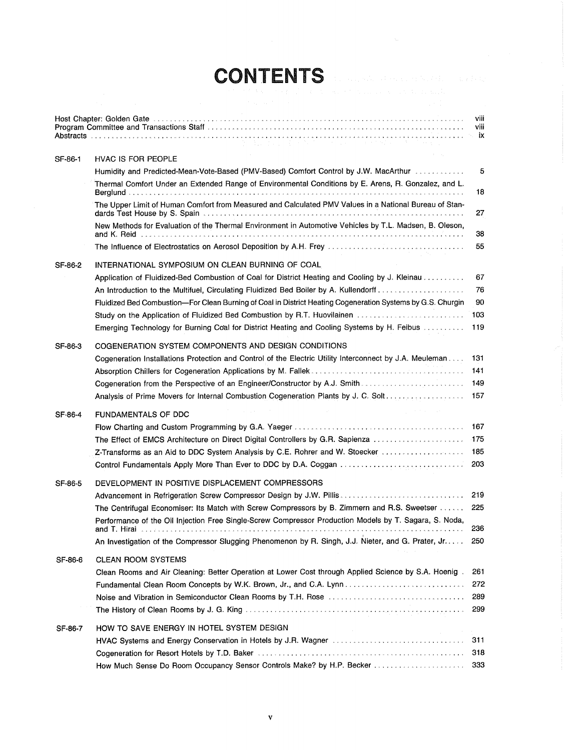# CONTENTS

|         | ないねん はっかり アルバー エイヤー (手)                                                                                                                       | viii<br>viii |
|---------|-----------------------------------------------------------------------------------------------------------------------------------------------|--------------|
| SF-86-1 | <b>HVAC IS FOR PEOPLE</b>                                                                                                                     |              |
|         | Humidity and Predicted-Mean-Vote-Based (PMV-Based) Comfort Control by J.W. MacArthur [11]                                                     | 5            |
|         | Thermal Comfort Under an Extended Range of Environmental Conditions by E. Arens, R. Gonzalez, and L.                                          | 18           |
|         | The Upper Limit of Human Comfort from Measured and Calculated PMV Values in a National Bureau of Stan-                                        | 27           |
|         | New Methods for Evaluation of the Thermal Environment in Automotive Vehicles by T.L. Madsen, B. Oleson,                                       | 38           |
|         | The Influence of Electrostatics on Aerosol Deposition by A.H. Frey management of the interaction of the United                                | 55           |
| SF-86-2 | INTERNATIONAL SYMPOSIUM ON CLEAN BURNING OF COAL                                                                                              |              |
|         | Application of Fluidized-Bed Combustion of Coal for District Heating and Cooling by J. Kleinau                                                | 67           |
|         | An Introduction to the Multifuel, Circulating Fluidized Bed Boiler by A. Kullendorff                                                          | 76           |
|         | Fluidized Bed Combustion-For Clean Burning of Coal in District Heating Cogeneration Systems by G.S. Churgin                                   | 90           |
|         | Study on the Application of Fluidized Bed Combustion by R.T. Huovilainen                                                                      | 103          |
|         | Emerging Technology for Burning Coal for District Heating and Cooling Systems by H. Feibus                                                    | 119          |
| SF-86-3 | COGENERATION SYSTEM COMPONENTS AND DESIGN CONDITIONS                                                                                          |              |
|         | Cogeneration Installations Protection and Control of the Electric Utility Interconnect by J.A. Meuleman                                       | 131          |
|         |                                                                                                                                               | 141          |
|         | Cogeneration from the Perspective of an Engineer/Constructor by A.J. Smith                                                                    | 149          |
|         | Analysis of Prime Movers for Internal Combustion Cogeneration Plants by J. C. Solt<br>greater and part                                        | 157          |
| SF-86-4 | <b>FUNDAMENTALS OF DDC</b>                                                                                                                    |              |
|         |                                                                                                                                               |              |
|         | The Effect of EMCS Architecture on Direct Digital Controllers by G.R. Sapienza                                                                | -175         |
|         | Z-Transforms as an Aid to DDC System Analysis by C.E. Rohrer and W. Stoecker                                                                  | 185          |
|         |                                                                                                                                               | 203          |
| SF-86-5 | DEVELOPMENT IN POSITIVE DISPLACEMENT COMPRESSORS                                                                                              |              |
|         | Advancement in Refrigeration Screw Compressor Design by J.W. Pillis                                                                           | 219          |
|         | The Centrifugal Economiser: Its Match with Screw Compressors by B. Zimmern and R.S. Sweetser                                                  | 225          |
|         | Performance of the Oil Injection Free Single-Screw Compressor Production Models by T. Sagara, S. Noda,<br>and I. Hiral $\ldots \ldots \ldots$ | 236          |
|         | An Investigation of the Compressor Slugging Phenomenon by R. Singh, J.J. Nieter, and G. Prater, Jr                                            | 250          |
| SF-86-6 | <b>CLEAN ROOM SYSTEMS</b>                                                                                                                     |              |
|         | Clean Rooms and Air Cleaning: Better Operation at Lower Cost through Applied Science by S.A. Hoenig.                                          | 261          |
|         |                                                                                                                                               | 272          |
|         |                                                                                                                                               | 289          |
|         |                                                                                                                                               | 299          |
| SF-86-7 | HOW TO SAVE ENERGY IN HOTEL SYSTEM DESIGN                                                                                                     |              |
|         |                                                                                                                                               | 311          |
|         |                                                                                                                                               | 318<br>333   |
|         |                                                                                                                                               |              |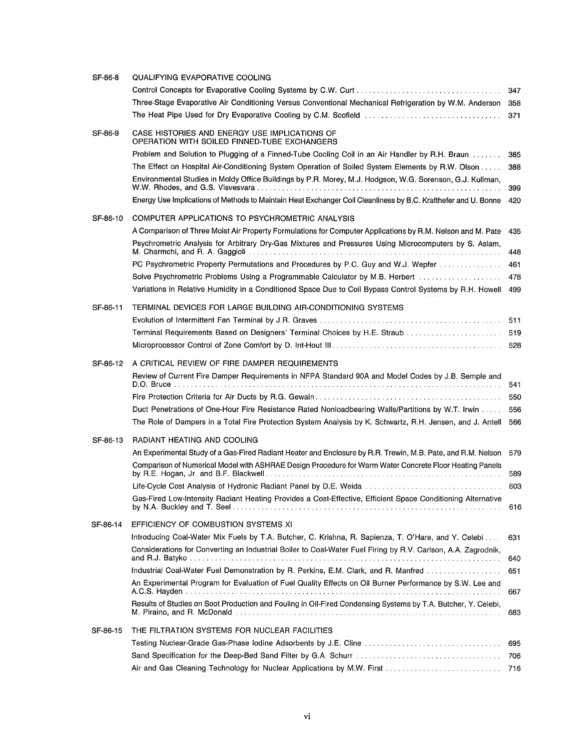| SF-86-8  | QUALIFYING EVAPORATIVE COOLING                                                                                                                                                                                |     |
|----------|---------------------------------------------------------------------------------------------------------------------------------------------------------------------------------------------------------------|-----|
|          |                                                                                                                                                                                                               | 347 |
|          | Three-Stage Evaporative Air Conditioning Versus Conventional Mechanical Refrigeration by W.M. Anderson 358                                                                                                    |     |
|          | The Heat Pipe Used for Dry Evaporative Cooling by C.M. Scofield                                                                                                                                               | 371 |
| SF-86-9  | CASE HISTORIES AND ENERGY USE IMPLICATIONS OF<br>OPERATION WITH SOILED FINNED-TUBE EXCHANGERS                                                                                                                 |     |
|          | Problem and Solution to Plugging of a Finned-Tube Cooling Coil in an Air Handler by R.H. Braun                                                                                                                | 385 |
|          | The Effect on Hospital Air-Conditioning System Operation of Soiled System Elements by R.W. Olson<br>Environmental Studies in Moldy Office Buildings by P.R. Morey, M.J. Hodgson, W.G. Sorenson, G.J. Kullman, | 388 |
|          |                                                                                                                                                                                                               | 399 |
|          | Energy Use Implications of Methods to Maintain Heat Exchanger Coil Cleanliness by B.C. Krafthefer and U. Bonne                                                                                                | 420 |
| SF-86-10 | COMPUTER APPLICATIONS TO PSYCHROMETRIC ANALYSIS                                                                                                                                                               |     |
|          | A Comparison of Three Moist Air Property Formulations for Computer Applications by R.M. Nelson and M. Pate                                                                                                    | 435 |
|          | Psychrometric Analysis for Arbitrary Dry-Gas Mixtures and Pressures Using Microcomputers by S. Aslam,                                                                                                         | 448 |
|          | PC Psychrometric Property Permutations and Procedures by P.C. Guy and W.J. Wepfer                                                                                                                             | 461 |
|          | Solve Psychrometric Problems Using a Programmable Calculator by M.B. Herbert [1, 1, 1, 1, 1, 1, 1, 1, 1, 1, 1,                                                                                                | 478 |
|          | Variations in Relative Humidity in a Conditioned Space Due to Coil Bypass Control Systems by R.H. Howell                                                                                                      | 499 |
| SF-86-11 | TERMINAL DEVICES FOR LARGE BUILDING AIR-CONDITIONING SYSTEMS                                                                                                                                                  |     |
|          |                                                                                                                                                                                                               | 511 |
|          | Terminal Requirements Based on Designers' Terminal Choices by H.E. Straub                                                                                                                                     | 519 |
|          |                                                                                                                                                                                                               | 528 |
|          |                                                                                                                                                                                                               |     |
| SF-86-12 | A CRITICAL REVIEW OF FIRE DAMPER REQUIREMENTS                                                                                                                                                                 |     |
|          | Review of Current Fire Damper Requirements in NFPA Standard 90A and Model Codes by J.B. Semple and                                                                                                            | 541 |
|          |                                                                                                                                                                                                               | 550 |
|          | Duct Penetrations of One-Hour Fire Resistance Rated Nonloadbearing Walls/Partitions by W.T. Irwin                                                                                                             | 556 |
|          | The Role of Dampers in a Total Fire Protection System Analysis by K. Schwartz, R.H. Jensen, and J. Antell                                                                                                     | 566 |
| SF-86-13 | RADIANT HEATING AND COOLING                                                                                                                                                                                   |     |
|          | An Experimental Study of a Gas-Fired Radiant Heater and Enclosure by R.R. Trewin, M.B. Pate, and R.M. Nelson                                                                                                  | 579 |
|          | Comparison of Numerical Model with ASHRAE Design Procedure for Warm Water Concrete Floor Heating Panels                                                                                                       | 589 |
|          | Life-Cycle Cost Analysis of Hydronic Radiant Panel by D.E. Weida                                                                                                                                              | 603 |
|          | Gas-Fired Low-Intensity Radiant Heating Provides a Cost-Effective, Efficient Space Conditioning Alternative                                                                                                   | 616 |
| SF-86-14 | EFFICIENCY OF COMBUSTION SYSTEMS XI                                                                                                                                                                           |     |
|          | Introducing Coal-Water Mix Fuels by T.A. Butcher, C. Krishna, R. Sapienza, T. O'Hare, and Y. Celebi                                                                                                           | 631 |
|          | Considerations for Converting an Industrial Boiler to Coal-Water Fuel Firing by R.V. Carlson, A.A. Zagrodnik,                                                                                                 | 640 |
|          | Industrial Coal-Water Fuel Demonstration by R. Perkins, E.M. Clark, and R. Manfred                                                                                                                            | 651 |
|          | An Experimental Program for Evaluation of Fuel Quality Effects on Oil Burner Performance by S.W. Lee and                                                                                                      | 667 |
|          | Results of Studies on Soot Production and Fouling in Oil-Fired Condensing Systems by T.A. Butcher, Y. Celebi,                                                                                                 | 683 |
| SF-86-15 | THE FILTRATION SYSTEMS FOR NUCLEAR FACILITIES                                                                                                                                                                 |     |
|          | Testing Nuclear-Grade Gas-Phase Iodine Adsorbents by J.E. Cline                                                                                                                                               | 695 |
|          |                                                                                                                                                                                                               | 706 |
|          | Air and Gas Cleaning Technology for Nuclear Applications by M.W. First                                                                                                                                        | 716 |
|          |                                                                                                                                                                                                               |     |

 $\label{eq:2.1} \frac{1}{\sqrt{2\pi}}\int_{0}^{\infty}\frac{1}{\sqrt{2\pi}}\left(\frac{1}{\sqrt{2\pi}}\right)^{2\pi} \frac{1}{\sqrt{2\pi}}\int_{0}^{\infty}\frac{1}{\sqrt{2\pi}}\frac{1}{\sqrt{2\pi}}\frac{1}{\sqrt{2\pi}}\frac{1}{\sqrt{2\pi}}\frac{1}{\sqrt{2\pi}}\frac{1}{\sqrt{2\pi}}\frac{1}{\sqrt{2\pi}}\frac{1}{\sqrt{2\pi}}\frac{1}{\sqrt{2\pi}}\frac{1}{\sqrt{2\pi}}\frac{1}{\sqrt{2\pi}}\frac{$